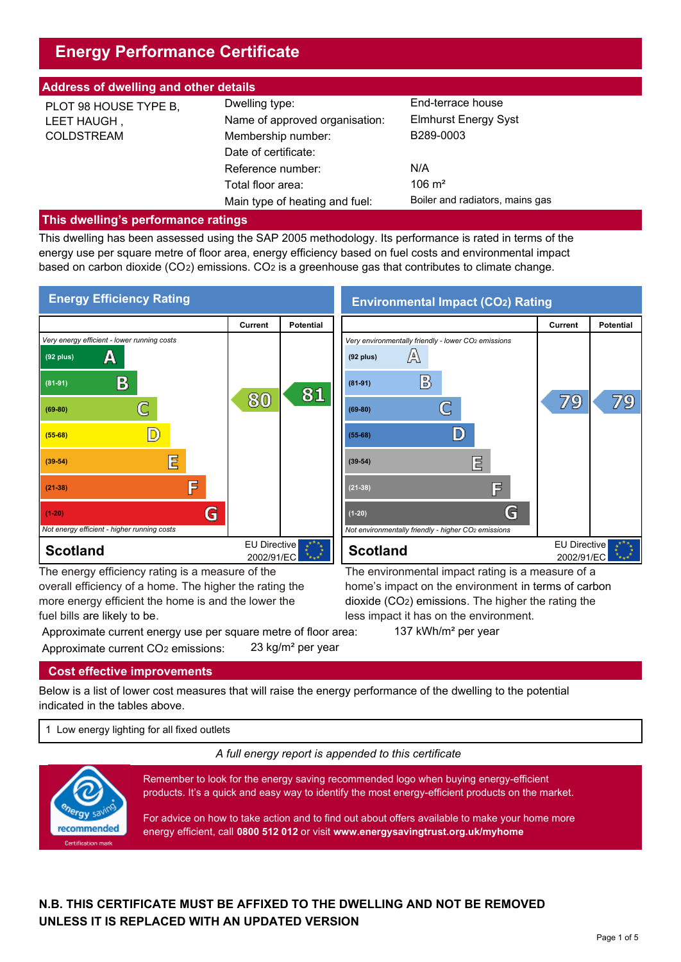# **Energy Performance Certificate**

| <b>Address of dwelling and other details</b>              |                                                                        |                                                               |  |  |  |
|-----------------------------------------------------------|------------------------------------------------------------------------|---------------------------------------------------------------|--|--|--|
| PLOT 98 HOUSE TYPE B,<br>LEET HAUGH,<br><b>COLDSTREAM</b> | Dwelling type:<br>Name of approved organisation:<br>Membership number: | End-terrace house<br><b>Elmhurst Energy Syst</b><br>B289-0003 |  |  |  |
|                                                           | Date of certificate:                                                   |                                                               |  |  |  |
|                                                           | Reference number:                                                      | N/A                                                           |  |  |  |
|                                                           | Total floor area:                                                      | $106 \text{ m}^2$                                             |  |  |  |
|                                                           | Main type of heating and fuel:                                         | Boiler and radiators, mains gas                               |  |  |  |

#### **This dwelling's performance ratings**

This dwelling has been assessed using the SAP 2005 methodology. Its performance is rated in terms of the energy use per square metre of floor area, energy efficiency based on fuel costs and environmental impact based on carbon dioxide (CO2) emissions. CO2 is a greenhouse gas that contributes to climate change.



more energy efficient the home is and the lower the fuel bills are likely to be.

Approximate current energy use per square metre of floor area: 137 kWh/m<sup>2</sup> per year Approximate current CO2 emissions: 23 kg/m² per year

less impact it has on the environment.

dioxide (CO2) emissions. The higher the rating the

## **Cost effective improvements**

Below is a list of lower cost measures that will raise the energy performance of the dwelling to the potential indicated in the tables above.

1 Low energy lighting for all fixed outlets

*A full energy report is appended to this certificate*



Remember to look for the energy saving recommended logo when buying energy-efficient products. It's a quick and easy way to identify the most energy-efficient products on the market.

For advice on how to take action and to find out about offers available to make your home more energy efficient, call **0800 512 012** or visit **www.energysavingtrust.org.uk/myhome**

## **N.B. THIS CERTIFICATE MUST BE AFFIXED TO THE DWELLING AND NOT BE REMOVED UNLESS IT IS REPLACED WITH AN UPDATED VERSION**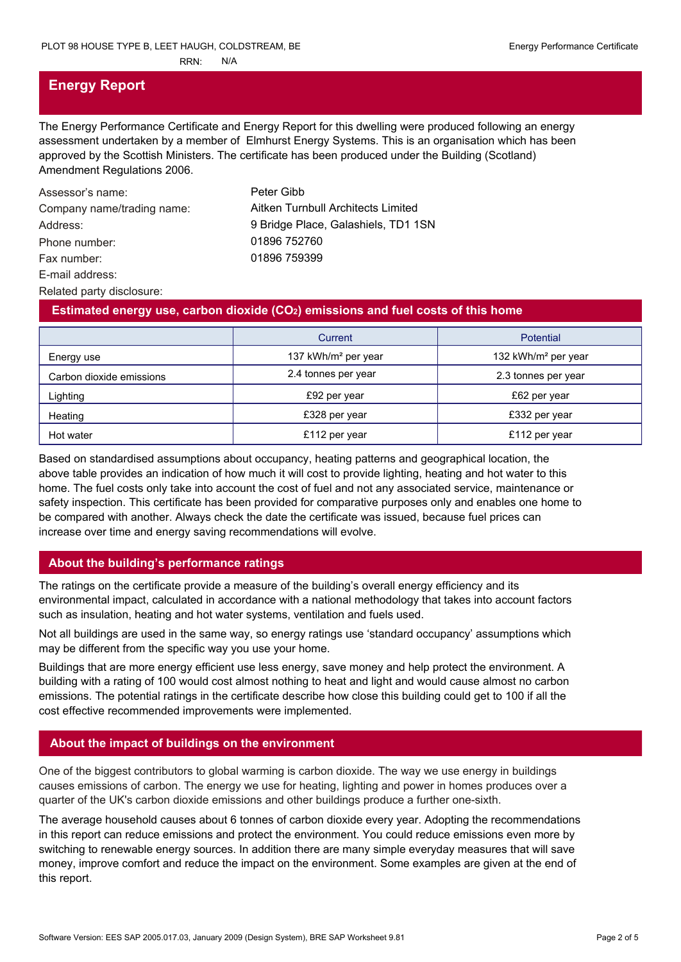## **Energy Report**

The Energy Performance Certificate and Energy Report for this dwelling were produced following an energy assessment undertaken by a member of Elmhurst Energy Systems. This is an organisation which has been approved by the Scottish Ministers. The certificate has been produced under the Building (Scotland) Amendment Regulations 2006.

| Assessor's name:           | Peter Gibb                          |
|----------------------------|-------------------------------------|
| Company name/trading name: | Aitken Turnbull Architects Limited  |
| Address:                   | 9 Bridge Place, Galashiels, TD1 1SN |
| Phone number:              | 01896 752760                        |
| Fax number:                | 01896 759399                        |
| E-mail address:            |                                     |
| Related party disclosure:  |                                     |

#### **Estimated energy use, carbon dioxide (CO2) emissions and fuel costs of this home**

|                          | Current                                    | <b>Potential</b>                |
|--------------------------|--------------------------------------------|---------------------------------|
| Energy use               | 137 kWh/m <sup>2</sup> per year            | 132 kWh/m <sup>2</sup> per year |
| Carbon dioxide emissions | 2.4 tonnes per year<br>2.3 tonnes per year |                                 |
| Lighting                 | £92 per year                               | £62 per year                    |
| Heating                  | £328 per year                              | £332 per year                   |
| Hot water                | £112 per year                              | £112 per year                   |

Based on standardised assumptions about occupancy, heating patterns and geographical location, the above table provides an indication of how much it will cost to provide lighting, heating and hot water to this home. The fuel costs only take into account the cost of fuel and not any associated service, maintenance or safety inspection. This certificate has been provided for comparative purposes only and enables one home to be compared with another. Always check the date the certificate was issued, because fuel prices can increase over time and energy saving recommendations will evolve.

#### **About the building's performance ratings**

The ratings on the certificate provide a measure of the building's overall energy efficiency and its environmental impact, calculated in accordance with a national methodology that takes into account factors such as insulation, heating and hot water systems, ventilation and fuels used.

Not all buildings are used in the same way, so energy ratings use 'standard occupancy' assumptions which may be different from the specific way you use your home.

Buildings that are more energy efficient use less energy, save money and help protect the environment. A building with a rating of 100 would cost almost nothing to heat and light and would cause almost no carbon emissions. The potential ratings in the certificate describe how close this building could get to 100 if all the cost effective recommended improvements were implemented.

## **About the impact of buildings on the environment**

One of the biggest contributors to global warming is carbon dioxide. The way we use energy in buildings causes emissions of carbon. The energy we use for heating, lighting and power in homes produces over a quarter of the UK's carbon dioxide emissions and other buildings produce a further one-sixth.

The average household causes about 6 tonnes of carbon dioxide every year. Adopting the recommendations in this report can reduce emissions and protect the environment. You could reduce emissions even more by switching to renewable energy sources. In addition there are many simple everyday measures that will save money, improve comfort and reduce the impact on the environment. Some examples are given at the end of this report.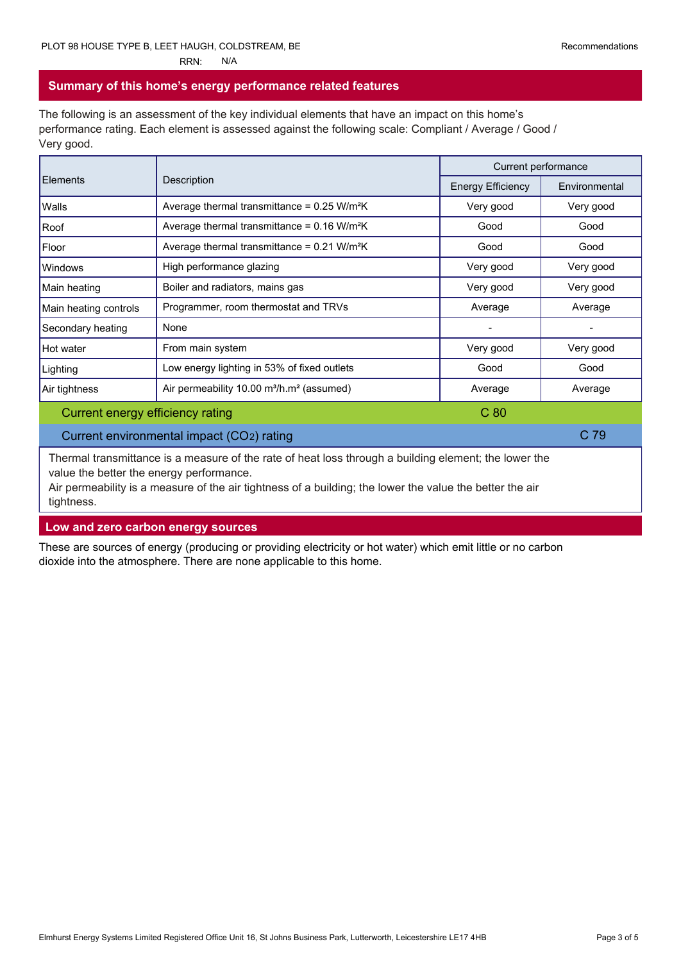#### **Summary of this home's energy performance related features**

The following is an assessment of the key individual elements that have an impact on this home's performance rating. Each element is assessed against the following scale: Compliant / Average / Good / Very good.

| Elements                         | Description                                                       | Current performance      |               |
|----------------------------------|-------------------------------------------------------------------|--------------------------|---------------|
|                                  |                                                                   | <b>Energy Efficiency</b> | Environmental |
| Walls                            | Average thermal transmittance = $0.25$ W/m <sup>2</sup> K         | Very good                | Very good     |
| Roof                             | Average thermal transmittance = $0.16$ W/m <sup>2</sup> K         | Good                     | Good          |
| Floor                            | Average thermal transmittance = $0.21$ W/m <sup>2</sup> K         | Good                     | Good          |
| Windows                          | High performance glazing                                          | Very good                | Very good     |
| Main heating                     | Boiler and radiators, mains gas                                   | Very good                | Very good     |
| Main heating controls            | Programmer, room thermostat and TRVs                              | Average                  | Average       |
| Secondary heating                | None                                                              |                          |               |
| Hot water                        | From main system                                                  | Very good                | Very good     |
| Lighting                         | Low energy lighting in 53% of fixed outlets                       | Good                     | Good          |
| Air tightness                    | Air permeability 10.00 m <sup>3</sup> /h.m <sup>2</sup> (assumed) | Average                  | Average       |
| Current energy efficiency rating |                                                                   | C <sub>80</sub>          |               |

### Current environmental impact (CO2) rating C 79

Thermal transmittance is a measure of the rate of heat loss through a building element; the lower the value the better the energy performance.

Air permeability is a measure of the air tightness of a building; the lower the value the better the air tightness.

**Low and zero carbon energy sources**

These are sources of energy (producing or providing electricity or hot water) which emit little or no carbon dioxide into the atmosphere. There are none applicable to this home.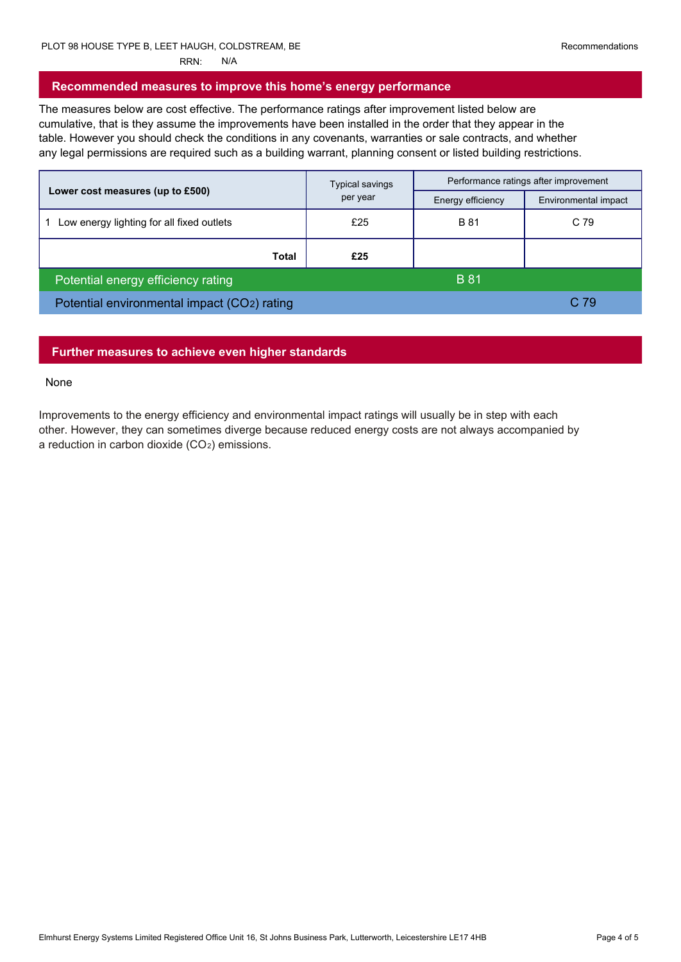#### **Recommended measures to improve this home's energy performance**

The measures below are cost effective. The performance ratings after improvement listed below are cumulative, that is they assume the improvements have been installed in the order that they appear in the table. However you should check the conditions in any covenants, warranties or sale contracts, and whether any legal permissions are required such as a building warrant, planning consent or listed building restrictions.

|                                             | Typical savings<br>per year | Performance ratings after improvement |                      |
|---------------------------------------------|-----------------------------|---------------------------------------|----------------------|
| Lower cost measures (up to £500)            |                             | Energy efficiency                     | Environmental impact |
| Low energy lighting for all fixed outlets   | £25                         | <b>B</b> 81                           | C 79                 |
| Total                                       | £25                         |                                       |                      |
| Potential energy efficiency rating          |                             | <b>B</b> 81                           |                      |
| Potential environmental impact (CO2) rating |                             |                                       | C 79                 |

#### **Further measures to achieve even higher standards**

#### None

Improvements to the energy efficiency and environmental impact ratings will usually be in step with each other. However, they can sometimes diverge because reduced energy costs are not always accompanied by a reduction in carbon dioxide (CO2) emissions.